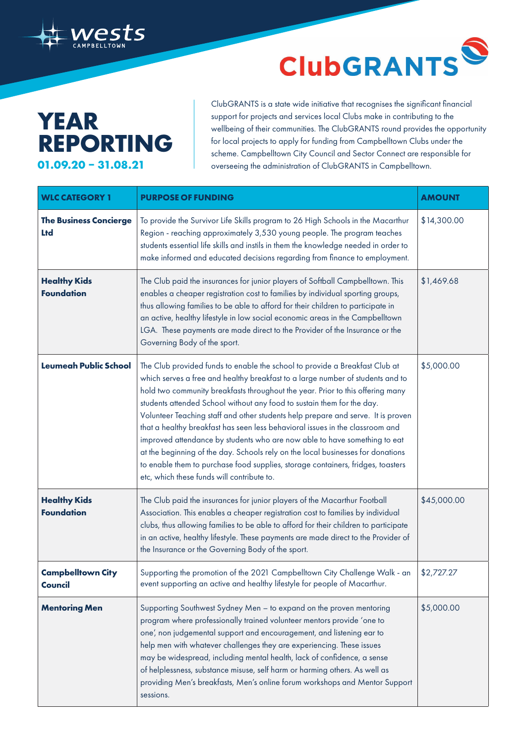

## **ClubGRANTS** S

## **YEAR REPORTING 01.09.20 – 31.08.21**

ClubGRANTS is a state wide initiative that recognises the significant financial support for projects and services local Clubs make in contributing to the wellbeing of their communities. The ClubGRANTS round provides the opportunity for local projects to apply for funding from Campbelltown Clubs under the scheme. Campbelltown City Council and Sector Connect are responsible for overseeing the administration of ClubGRANTS in Campbelltown.

| <b>WLC CATEGORY 1</b>                       | <b>PURPOSE OF FUNDING</b>                                                                                                                                                                                                                                                                                                                                                                                                                                                                                                                                                                                                                                                                                                                                                                       | <b>AMOUNT</b> |
|---------------------------------------------|-------------------------------------------------------------------------------------------------------------------------------------------------------------------------------------------------------------------------------------------------------------------------------------------------------------------------------------------------------------------------------------------------------------------------------------------------------------------------------------------------------------------------------------------------------------------------------------------------------------------------------------------------------------------------------------------------------------------------------------------------------------------------------------------------|---------------|
| <b>The Business Concierge</b><br><b>Ltd</b> | To provide the Survivor Life Skills program to 26 High Schools in the Macarthur<br>Region - reaching approximately 3,530 young people. The program teaches<br>students essential life skills and instils in them the knowledge needed in order to<br>make informed and educated decisions regarding from finance to employment.                                                                                                                                                                                                                                                                                                                                                                                                                                                                 | \$14,300.00   |
| <b>Healthy Kids</b><br><b>Foundation</b>    | The Club paid the insurances for junior players of Softball Campbelltown. This<br>enables a cheaper registration cost to families by individual sporting groups,<br>thus allowing families to be able to afford for their children to participate in<br>an active, healthy lifestyle in low social economic areas in the Campbelltown<br>LGA. These payments are made direct to the Provider of the Insurance or the<br>Governing Body of the sport.                                                                                                                                                                                                                                                                                                                                            | \$1,469.68    |
| <b>Leumeah Public School</b>                | The Club provided funds to enable the school to provide a Breakfast Club at<br>which serves a free and healthy breakfast to a large number of students and to<br>hold two community breakfasts throughout the year. Prior to this offering many<br>students attended School without any food to sustain them for the day.<br>Volunteer Teaching staff and other students help prepare and serve. It is proven<br>that a healthy breakfast has seen less behavioral issues in the classroom and<br>improved attendance by students who are now able to have something to eat<br>at the beginning of the day. Schools rely on the local businesses for donations<br>to enable them to purchase food supplies, storage containers, fridges, toasters<br>etc, which these funds will contribute to. | \$5,000.00    |
| <b>Healthy Kids</b><br><b>Foundation</b>    | The Club paid the insurances for junior players of the Macarthur Football<br>Association. This enables a cheaper registration cost to families by individual<br>clubs, thus allowing families to be able to afford for their children to participate<br>in an active, healthy lifestyle. These payments are made direct to the Provider of<br>the Insurance or the Governing Body of the sport.                                                                                                                                                                                                                                                                                                                                                                                                 | \$45,000.00   |
| <b>Campbelltown City</b><br>Council         | Supporting the promotion of the 2021 Campbelltown City Challenge Walk - an<br>event supporting an active and healthy lifestyle for people of Macarthur.                                                                                                                                                                                                                                                                                                                                                                                                                                                                                                                                                                                                                                         | \$2,727.27    |
| <b>Mentoring Men</b>                        | Supporting Southwest Sydney Men - to expand on the proven mentoring<br>program where professionally trained volunteer mentors provide 'one to<br>one', non judgemental support and encouragement, and listening ear to<br>help men with whatever challenges they are experiencing. These issues<br>may be widespread, including mental health, lack of confidence, a sense<br>of helplessness, substance misuse, self harm or harming others. As well as<br>providing Men's breakfasts, Men's online forum workshops and Mentor Support<br>sessions.                                                                                                                                                                                                                                            | \$5,000.00    |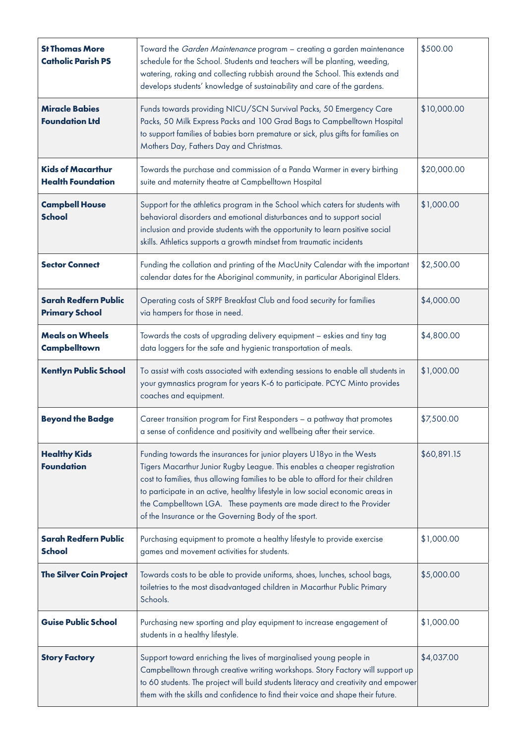| <b>St Thomas More</b><br><b>Catholic Parish PS</b>   | Toward the Garden Maintenance program - creating a garden maintenance<br>schedule for the School. Students and teachers will be planting, weeding,<br>watering, raking and collecting rubbish around the School. This extends and<br>develops students' knowledge of sustainability and care of the gardens.                                                                                                                                            | \$500.00    |
|------------------------------------------------------|---------------------------------------------------------------------------------------------------------------------------------------------------------------------------------------------------------------------------------------------------------------------------------------------------------------------------------------------------------------------------------------------------------------------------------------------------------|-------------|
| <b>Miracle Babies</b><br><b>Foundation Ltd</b>       | Funds towards providing NICU/SCN Survival Packs, 50 Emergency Care<br>Packs, 50 Milk Express Packs and 100 Grad Bags to Campbelltown Hospital<br>to support families of babies born premature or sick, plus gifts for families on<br>Mothers Day, Fathers Day and Christmas.                                                                                                                                                                            | \$10,000.00 |
| <b>Kids of Macarthur</b><br><b>Health Foundation</b> | Towards the purchase and commission of a Panda Warmer in every birthing<br>suite and maternity theatre at Campbelltown Hospital                                                                                                                                                                                                                                                                                                                         | \$20,000.00 |
| <b>Campbell House</b><br><b>School</b>               | Support for the athletics program in the School which caters for students with<br>behavioral disorders and emotional disturbances and to support social<br>inclusion and provide students with the opportunity to learn positive social<br>skills. Athletics supports a growth mindset from traumatic incidents                                                                                                                                         | \$1,000.00  |
| <b>Sector Connect</b>                                | Funding the collation and printing of the MacUnity Calendar with the important<br>calendar dates for the Aboriginal community, in particular Aboriginal Elders.                                                                                                                                                                                                                                                                                         | \$2,500.00  |
| <b>Sarah Redfern Public</b><br><b>Primary School</b> | Operating costs of SRPF Breakfast Club and food security for families<br>via hampers for those in need.                                                                                                                                                                                                                                                                                                                                                 | \$4,000.00  |
| <b>Meals on Wheels</b><br><b>Campbelltown</b>        | Towards the costs of upgrading delivery equipment - eskies and tiny tag<br>data loggers for the safe and hygienic transportation of meals.                                                                                                                                                                                                                                                                                                              | \$4,800.00  |
| <b>Kentlyn Public School</b>                         | To assist with costs associated with extending sessions to enable all students in<br>your gymnastics program for years K-6 to participate. PCYC Minto provides<br>coaches and equipment.                                                                                                                                                                                                                                                                | \$1,000.00  |
| <b>Beyond the Badge</b>                              | Career transition program for First Responders - a pathway that promotes<br>a sense of confidence and positivity and wellbeing after their service.                                                                                                                                                                                                                                                                                                     | \$7,500.00  |
| <b>Healthy Kids</b><br><b>Foundation</b>             | Funding towards the insurances for junior players U18yo in the Wests<br>Tigers Macarthur Junior Rugby League. This enables a cheaper registration<br>cost to families, thus allowing families to be able to afford for their children<br>to participate in an active, healthy lifestyle in low social economic areas in<br>the Campbelltown LGA. These payments are made direct to the Provider<br>of the Insurance or the Governing Body of the sport. | \$60,891.15 |
| <b>Sarah Redfern Public</b><br><b>School</b>         | Purchasing equipment to promote a healthy lifestyle to provide exercise<br>games and movement activities for students.                                                                                                                                                                                                                                                                                                                                  | \$1,000.00  |
| <b>The Silver Coin Project</b>                       | Towards costs to be able to provide uniforms, shoes, lunches, school bags,<br>toiletries to the most disadvantaged children in Macarthur Public Primary<br>Schools.                                                                                                                                                                                                                                                                                     | \$5,000.00  |
| <b>Guise Public School</b>                           | Purchasing new sporting and play equipment to increase engagement of<br>students in a healthy lifestyle.                                                                                                                                                                                                                                                                                                                                                | \$1,000.00  |
| <b>Story Factory</b>                                 | Support toward enriching the lives of marginalised young people in<br>Campbelltown through creative writing workshops. Story Factory will support up<br>to 60 students. The project will build students literacy and creativity and empower<br>them with the skills and confidence to find their voice and shape their future.                                                                                                                          | \$4,037.00  |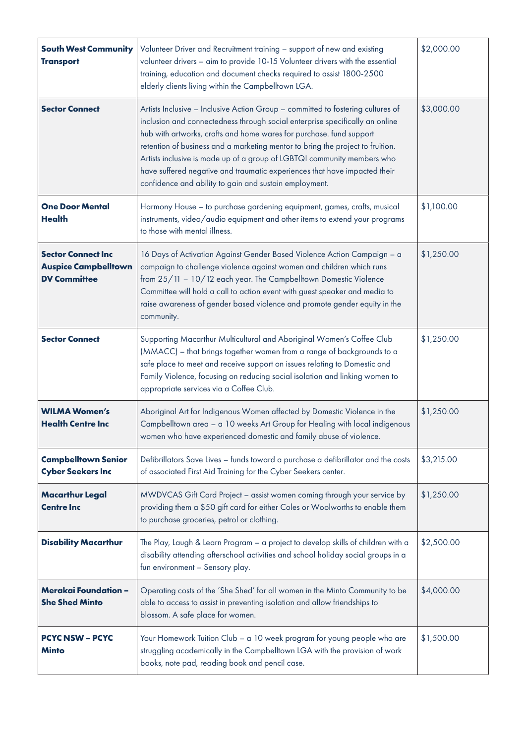| <b>South West Community</b><br><b>Transport</b>                                 | Volunteer Driver and Recruitment training - support of new and existing<br>volunteer drivers - aim to provide 10-15 Volunteer drivers with the essential<br>training, education and document checks required to assist 1800-2500<br>elderly clients living within the Campbelltown LGA.                                                                                                                                                                                                                                                    | \$2,000.00 |
|---------------------------------------------------------------------------------|--------------------------------------------------------------------------------------------------------------------------------------------------------------------------------------------------------------------------------------------------------------------------------------------------------------------------------------------------------------------------------------------------------------------------------------------------------------------------------------------------------------------------------------------|------------|
| <b>Sector Connect</b>                                                           | Artists Inclusive - Inclusive Action Group - committed to fostering cultures of<br>inclusion and connectedness through social enterprise specifically an online<br>hub with artworks, crafts and home wares for purchase. fund support<br>retention of business and a marketing mentor to bring the project to fruition.<br>Artists inclusive is made up of a group of LGBTQI community members who<br>have suffered negative and traumatic experiences that have impacted their<br>confidence and ability to gain and sustain employment. | \$3,000.00 |
| <b>One Door Mental</b><br><b>Health</b>                                         | Harmony House - to purchase gardening equipment, games, crafts, musical<br>instruments, video/audio equipment and other items to extend your programs<br>to those with mental illness.                                                                                                                                                                                                                                                                                                                                                     | \$1,100.00 |
| <b>Sector Connect Inc</b><br><b>Auspice Campbelltown</b><br><b>DV Committee</b> | 16 Days of Activation Against Gender Based Violence Action Campaign - a<br>campaign to challenge violence against women and children which runs<br>from 25/11 - 10/12 each year. The Campbelltown Domestic Violence<br>Committee will hold a call to action event with guest speaker and media to<br>raise awareness of gender based violence and promote gender equity in the<br>community.                                                                                                                                               | \$1,250.00 |
| <b>Sector Connect</b>                                                           | Supporting Macarthur Multicultural and Aboriginal Women's Coffee Club<br>(MMACC) - that brings together women from a range of backgrounds to a<br>safe place to meet and receive support on issues relating to Domestic and<br>Family Violence, focusing on reducing social isolation and linking women to<br>appropriate services via a Coffee Club.                                                                                                                                                                                      | \$1,250.00 |
| <b>WILMA Women's</b><br><b>Health Centre Inc</b>                                | Aboriginal Art for Indigenous Women affected by Domestic Violence in the<br>Campbelltown area - a 10 weeks Art Group for Healing with local indigenous<br>women who have experienced domestic and family abuse of violence.                                                                                                                                                                                                                                                                                                                | \$1,250.00 |
| <b>Campbelltown Senior</b><br><b>Cyber Seekers Inc</b>                          | Defibrillators Save Lives - funds toward a purchase a defibrillator and the costs<br>of associated First Aid Training for the Cyber Seekers center.                                                                                                                                                                                                                                                                                                                                                                                        | \$3,215.00 |
| <b>Macarthur Legal</b><br><b>Centre Inc</b>                                     | MWDVCAS Gift Card Project - assist women coming through your service by<br>providing them a \$50 gift card for either Coles or Woolworths to enable them<br>to purchase groceries, petrol or clothing.                                                                                                                                                                                                                                                                                                                                     | \$1,250.00 |
| <b>Disability Macarthur</b>                                                     | The Play, Laugh & Learn Program - a project to develop skills of children with a<br>disability attending afterschool activities and school holiday social groups in a<br>fun environment - Sensory play.                                                                                                                                                                                                                                                                                                                                   | \$2,500.00 |
| <b>Merakai Foundation -</b><br><b>She Shed Minto</b>                            | Operating costs of the 'She Shed' for all women in the Minto Community to be<br>able to access to assist in preventing isolation and allow friendships to<br>blossom. A safe place for women.                                                                                                                                                                                                                                                                                                                                              | \$4,000.00 |
| <b>PCYC NSW - PCYC</b><br><b>Minto</b>                                          | Your Homework Tuition Club - a 10 week program for young people who are<br>struggling academically in the Campbelltown LGA with the provision of work<br>books, note pad, reading book and pencil case.                                                                                                                                                                                                                                                                                                                                    | \$1,500.00 |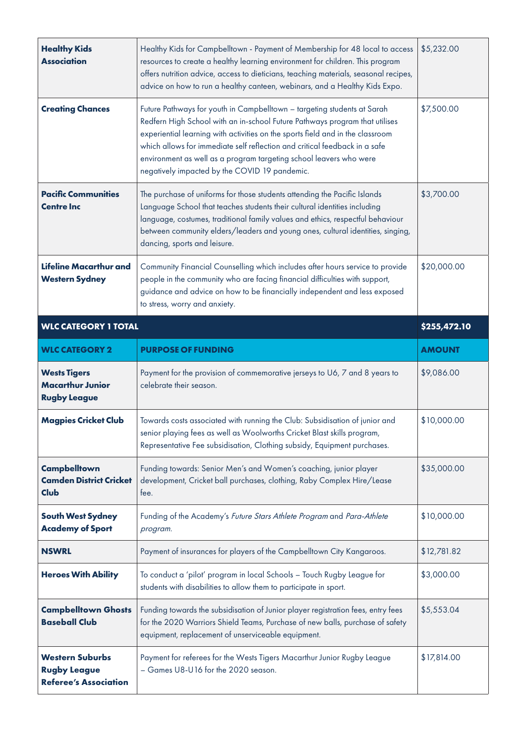| <b>Healthy Kids</b><br><b>Association</b>                             | Healthy Kids for Campbelltown - Payment of Membership for 48 local to access<br>resources to create a healthy learning environment for children. This program<br>offers nutrition advice, access to dieticians, teaching materials, seasonal recipes,<br>advice on how to run a healthy canteen, webinars, and a Healthy Kids Expo.                                                                                                           | \$5,232.00    |
|-----------------------------------------------------------------------|-----------------------------------------------------------------------------------------------------------------------------------------------------------------------------------------------------------------------------------------------------------------------------------------------------------------------------------------------------------------------------------------------------------------------------------------------|---------------|
| <b>Creating Chances</b>                                               | Future Pathways for youth in Campbelltown - targeting students at Sarah<br>Redfern High School with an in-school Future Pathways program that utilises<br>experiential learning with activities on the sports field and in the classroom<br>which allows for immediate self reflection and critical feedback in a safe<br>environment as well as a program targeting school leavers who were<br>negatively impacted by the COVID 19 pandemic. | \$7,500.00    |
| <b>Pacific Communities</b><br><b>Centre Inc</b>                       | The purchase of uniforms for those students attending the Pacific Islands<br>Language School that teaches students their cultural identities including<br>language, costumes, traditional family values and ethics, respectful behaviour<br>between community elders/leaders and young ones, cultural identities, singing,<br>dancing, sports and leisure.                                                                                    | \$3,700.00    |
| <b>Lifeline Macarthur and</b><br><b>Western Sydney</b>                | Community Financial Counselling which includes after hours service to provide<br>people in the community who are facing financial difficulties with support,<br>guidance and advice on how to be financially independent and less exposed<br>to stress, worry and anxiety.                                                                                                                                                                    | \$20,000.00   |
| <b>WLC CATEGORY 1 TOTAL</b>                                           |                                                                                                                                                                                                                                                                                                                                                                                                                                               | \$255,472.10  |
| <b>WLC CATEGORY 2</b>                                                 | <b>PURPOSE OF FUNDING</b>                                                                                                                                                                                                                                                                                                                                                                                                                     | <b>AMOUNT</b> |
|                                                                       |                                                                                                                                                                                                                                                                                                                                                                                                                                               |               |
| <b>Wests Tigers</b><br><b>Macarthur Junior</b><br><b>Rugby League</b> | Payment for the provision of commemorative jerseys to U6, 7 and 8 years to<br>celebrate their season.                                                                                                                                                                                                                                                                                                                                         | \$9,086.00    |
| <b>Magpies Cricket Club</b>                                           | Towards costs associated with running the Club: Subsidisation of junior and<br>senior playing fees as well as Woolworths Cricket Blast skills program,<br>Representative Fee subsidisation, Clothing subsidy, Equipment purchases.                                                                                                                                                                                                            | \$10,000.00   |
| <b>Campbelltown</b><br><b>Camden District Cricket</b><br><b>Club</b>  | Funding towards: Senior Men's and Women's coaching, junior player<br>development, Cricket ball purchases, clothing, Raby Complex Hire/Lease<br>tee.                                                                                                                                                                                                                                                                                           | \$35,000.00   |
| <b>South West Sydney</b><br><b>Academy of Sport</b>                   | Funding of the Academy's Future Stars Athlete Program and Para-Athlete<br>program.                                                                                                                                                                                                                                                                                                                                                            | \$10,000.00   |
| <b>NSWRL</b>                                                          | Payment of insurances for players of the Campbelltown City Kangaroos.                                                                                                                                                                                                                                                                                                                                                                         | \$12,781.82   |
| <b>Heroes With Ability</b>                                            | To conduct a 'pilot' program in local Schools - Touch Rugby League for<br>students with disabilities to allow them to participate in sport.                                                                                                                                                                                                                                                                                                   | \$3,000.00    |
| <b>Campbelltown Ghosts</b><br><b>Baseball Club</b>                    | Funding towards the subsidisation of Junior player registration fees, entry fees<br>for the 2020 Warriors Shield Teams, Purchase of new balls, purchase of safety<br>equipment, replacement of unserviceable equipment.                                                                                                                                                                                                                       | \$5,553.04    |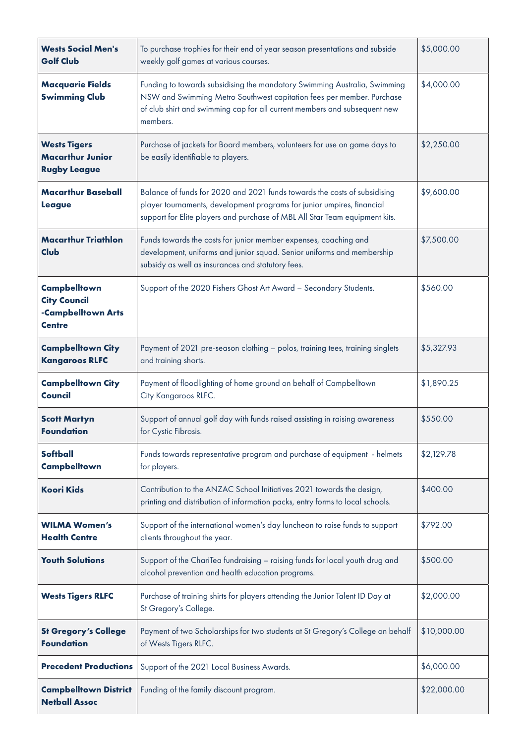| <b>Wests Social Men's</b><br><b>Golf Club</b>                                     | To purchase trophies for their end of year season presentations and subside<br>weekly golf games at various courses.                                                                                                                        | \$5,000.00  |
|-----------------------------------------------------------------------------------|---------------------------------------------------------------------------------------------------------------------------------------------------------------------------------------------------------------------------------------------|-------------|
| <b>Macquarie Fields</b><br><b>Swimming Club</b>                                   | Funding to towards subsidising the mandatory Swimming Australia, Swimming<br>NSW and Swimming Metro Southwest capitation fees per member. Purchase<br>of club shirt and swimming cap for all current members and subsequent new<br>members. | \$4,000.00  |
| <b>Wests Tigers</b><br><b>Macarthur Junior</b><br><b>Rugby League</b>             | Purchase of jackets for Board members, volunteers for use on game days to<br>be easily identifiable to players.                                                                                                                             | \$2,250.00  |
| <b>Macarthur Baseball</b><br><b>League</b>                                        | Balance of funds for 2020 and 2021 funds towards the costs of subsidising<br>player tournaments, development programs for junior umpires, financial<br>support for Elite players and purchase of MBL All Star Team equipment kits.          | \$9,600.00  |
| <b>Macarthur Triathlon</b><br>Club                                                | Funds towards the costs for junior member expenses, coaching and<br>development, uniforms and junior squad. Senior uniforms and membership<br>subsidy as well as insurances and statutory fees.                                             | \$7,500.00  |
| <b>Campbelltown</b><br><b>City Council</b><br>-Campbelltown Arts<br><b>Centre</b> | Support of the 2020 Fishers Ghost Art Award - Secondary Students.                                                                                                                                                                           | \$560.00    |
| <b>Campbelltown City</b><br><b>Kangaroos RLFC</b>                                 | Payment of 2021 pre-season clothing - polos, training tees, training singlets<br>and training shorts.                                                                                                                                       | \$5,327.93  |
| <b>Campbelltown City</b><br><b>Council</b>                                        | Payment of floodlighting of home ground on behalf of Campbelltown<br>City Kangaroos RLFC.                                                                                                                                                   | \$1,890.25  |
| <b>Scott Martyn</b><br><b>Foundation</b>                                          | Support of annual golf day with funds raised assisting in raising awareness<br>for Cystic Fibrosis.                                                                                                                                         | \$550.00    |
| <b>Softball</b><br><b>Campbelltown</b>                                            | Funds towards representative program and purchase of equipment - helmets<br>for players.                                                                                                                                                    | \$2,129.78  |
| <b>Koori Kids</b>                                                                 | Contribution to the ANZAC School Initiatives 2021 towards the design,<br>printing and distribution of information packs, entry forms to local schools.                                                                                      | \$400.00    |
| <b>WILMA Women's</b><br><b>Health Centre</b>                                      | Support of the international women's day luncheon to raise funds to support<br>clients throughout the year.                                                                                                                                 | \$792.00    |
| <b>Youth Solutions</b>                                                            | Support of the ChariTea fundraising - raising funds for local youth drug and<br>alcohol prevention and health education programs.                                                                                                           | \$500.00    |
| <b>Wests Tigers RLFC</b>                                                          | Purchase of training shirts for players attending the Junior Talent ID Day at<br>St Gregory's College.                                                                                                                                      | \$2,000.00  |
| <b>St Gregory's College</b><br><b>Foundation</b>                                  | Payment of two Scholarships for two students at St Gregory's College on behalf<br>of Wests Tigers RLFC.                                                                                                                                     | \$10,000.00 |
| <b>Precedent Productions</b>                                                      | Support of the 2021 Local Business Awards.                                                                                                                                                                                                  | \$6,000.00  |
| <b>Campbelltown District</b><br><b>Netball Assoc</b>                              | Funding of the family discount program.                                                                                                                                                                                                     | \$22,000.00 |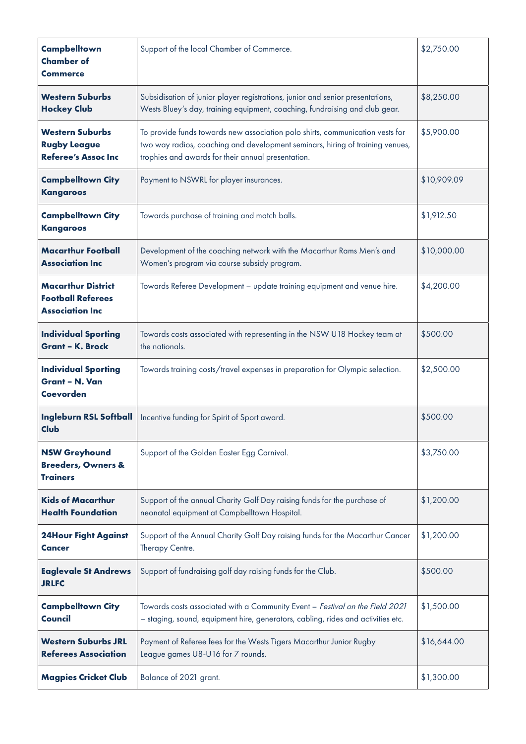| <b>Campbelltown</b><br><b>Chamber of</b><br><b>Commerce</b>                     | Support of the local Chamber of Commerce.                                                                                                                                                                            | \$2,750.00  |
|---------------------------------------------------------------------------------|----------------------------------------------------------------------------------------------------------------------------------------------------------------------------------------------------------------------|-------------|
| <b>Western Suburbs</b><br><b>Hockey Club</b>                                    | Subsidisation of junior player registrations, junior and senior presentations,<br>Wests Bluey's day, training equipment, coaching, fundraising and club gear.                                                        | \$8,250.00  |
| <b>Western Suburbs</b><br><b>Rugby League</b><br><b>Referee's Assoc Inc</b>     | To provide funds towards new association polo shirts, communication vests for<br>two way radios, coaching and development seminars, hiring of training venues,<br>trophies and awards for their annual presentation. | \$5,900.00  |
| <b>Campbelltown City</b><br><b>Kangaroos</b>                                    | Payment to NSWRL for player insurances.                                                                                                                                                                              | \$10,909.09 |
| <b>Campbelltown City</b><br><b>Kangaroos</b>                                    | Towards purchase of training and match balls.                                                                                                                                                                        | \$1,912.50  |
| <b>Macarthur Football</b><br><b>Association Inc</b>                             | Development of the coaching network with the Macarthur Rams Men's and<br>Women's program via course subsidy program.                                                                                                 | \$10,000.00 |
| <b>Macarthur District</b><br><b>Football Referees</b><br><b>Association Inc</b> | Towards Referee Development - update training equipment and venue hire.                                                                                                                                              | \$4,200.00  |
| <b>Individual Sporting</b><br><b>Grant - K. Brock</b>                           | Towards costs associated with representing in the NSW U18 Hockey team at<br>the nationals.                                                                                                                           | \$500.00    |
| <b>Individual Sporting</b><br><b>Grant - N. Van</b><br><b>Coevorden</b>         | Towards training costs/travel expenses in preparation for Olympic selection.                                                                                                                                         | \$2,500.00  |
| <b>Ingleburn RSL Softball</b><br>Club                                           | Incentive funding for Spirit of Sport award.                                                                                                                                                                         | \$500.00    |
| <b>NSW Greyhound</b><br><b>Breeders, Owners &amp;</b><br><b>Trainers</b>        | Support of the Golden Easter Egg Carnival.                                                                                                                                                                           | \$3,750.00  |
| <b>Kids of Macarthur</b><br><b>Health Foundation</b>                            | Support of the annual Charity Golf Day raising funds for the purchase of<br>neonatal equipment at Campbelltown Hospital.                                                                                             | \$1,200.00  |
| <b>24Hour Fight Against</b><br>Cancer                                           | Support of the Annual Charity Golf Day raising funds for the Macarthur Cancer<br>Therapy Centre.                                                                                                                     | \$1,200.00  |
| <b>Eaglevale St Andrews</b><br><b>JRLFC</b>                                     | Support of fundraising golf day raising funds for the Club.                                                                                                                                                          | \$500.00    |
| <b>Campbelltown City</b><br>Council                                             | Towards costs associated with a Community Event - Festival on the Field 2021<br>- staging, sound, equipment hire, generators, cabling, rides and activities etc.                                                     | \$1,500.00  |
| <b>Western Suburbs JRL</b><br><b>Referees Association</b>                       | Payment of Referee fees for the Wests Tigers Macarthur Junior Rugby<br>League games U8-U16 for 7 rounds.                                                                                                             | \$16,644.00 |
| <b>Magpies Cricket Club</b>                                                     | Balance of 2021 grant.                                                                                                                                                                                               | \$1,300.00  |